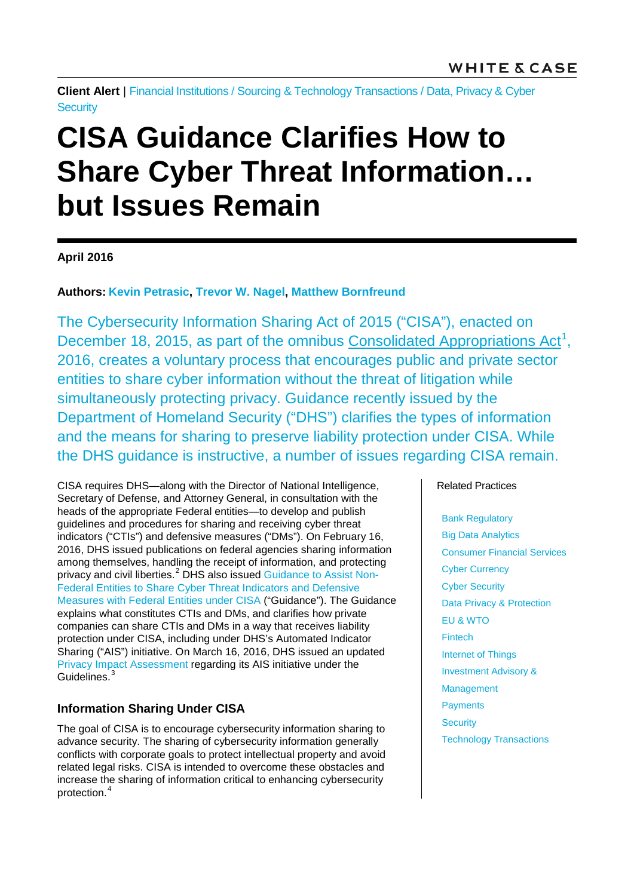**Client Alert** | [Financial Institutions](http://www.whitecase.com/law/industries/financial-institutions) / [Sourcing & Technology Transactions](http://www.whitecase.com/law/practices/sourcing-technology-transactions) / [Data, Privacy & Cyber](http://www.whitecase.com/law/practices/data-privacy-cyber-security) **[Security](http://www.whitecase.com/law/practices/data-privacy-cyber-security)** 

# **CISA Guidance Clarifies How to Share Cyber Threat Information… but Issues Remain**

# **April 2016**

# **Authors: [Kevin Petrasic,](http://www.whitecase.com/people/kevin-petrasic) [Trevor W. Nagel,](http://www.whitecase.com/people/dr-trevor-w-nagel) [Matthew Bornfreund](http://www.whitecase.com/people/matthew-bornfreund)**

The Cybersecurity Information Sharing Act of 2015 ("CISA"), enacted on December 18, 2015, as part of the omnibus [Consolidated Appropriations Act](https://www.congress.gov/bill/114th-congress/house-bill/2029)<sup>[1](#page-3-0)</sup>, 2016, creates a voluntary process that encourages public and private sector entities to share cyber information without the threat of litigation while simultaneously protecting privacy. Guidance recently issued by the Department of Homeland Security ("DHS") clarifies the types of information and the means for sharing to preserve liability protection under CISA. While the DHS guidance is instructive, a number of issues regarding CISA remain.

CISA requires DHS—along with the Director of National Intelligence, Secretary of Defense, and Attorney General, in consultation with the heads of the appropriate Federal entities—to develop and publish guidelines and procedures for sharing and receiving cyber threat indicators ("CTIs") and defensive measures ("DMs"). On February 16, 2016, DHS issued publications on federal agencies sharing information among themselves, handling the receipt of information, and protecting privacy and civil liberties.<sup>[2](#page-3-1)</sup> DHS also issued [Guidance to Assist Non-](https://www.us-cert.gov/sites/default/files/ais_files/Non-Federal_Entity_Sharing_Guidance_%28Sec%20105%28a%29%29.pdf)[Federal Entities to Share Cyber Threat Indicators and Defensive](https://www.us-cert.gov/sites/default/files/ais_files/Non-Federal_Entity_Sharing_Guidance_%28Sec%20105%28a%29%29.pdf)  [Measures with Federal Entities under CISA](https://www.us-cert.gov/sites/default/files/ais_files/Non-Federal_Entity_Sharing_Guidance_%28Sec%20105%28a%29%29.pdf) ("Guidance"). The Guidance explains what constitutes CTIs and DMs, and clarifies how private companies can share CTIs and DMs in a way that receives liability protection under CISA, including under DHS's Automated Indicator Sharing ("AIS") initiative. On March 16, 2016, DHS issued an updated [Privacy Impact Assessment](https://www.dhs.gov/sites/default/files/publications/privacy_pia_nppd_ais_update_03162016.pdf) regarding its AIS initiative under the Guidelines.<sup>[3](#page-3-2)</sup>

# **Information Sharing Under CISA**

The goal of CISA is to encourage cybersecurity information sharing to advance security. The sharing of cybersecurity information generally conflicts with corporate goals to protect intellectual property and avoid related legal risks. CISA is intended to overcome these obstacles and increase the sharing of information critical to enhancing cybersecurity protection.[4](#page-3-3)

#### Related Practices

Bank Regulatory Big Data Analytics Consumer Financial Services Cyber Currency Cyber Security Data Privacy & Protection EU & WTO Fintech Internet of Things Investment Advisory & **Management Payments Security** Technology Transactions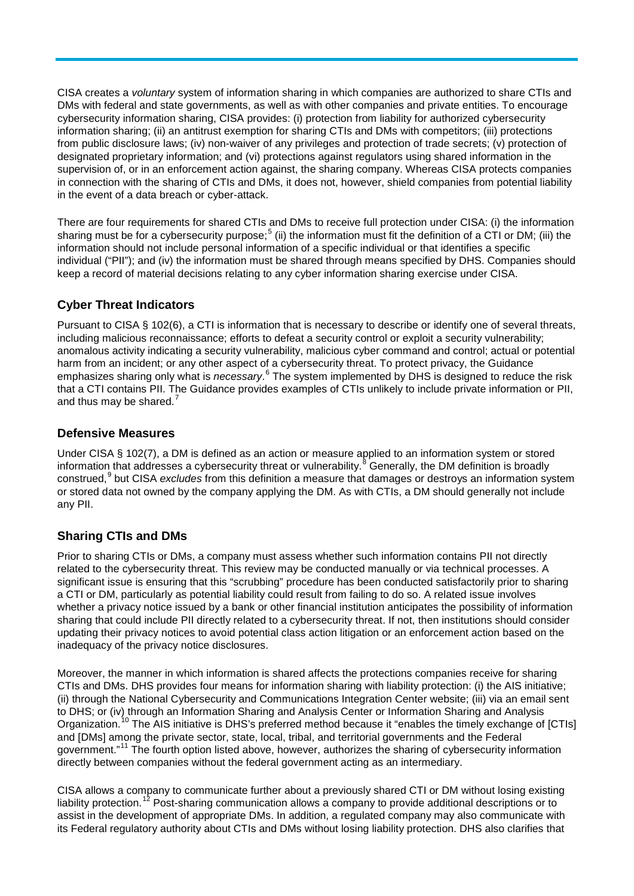CISA creates a *voluntary* system of information sharing in which companies are authorized to share CTIs and DMs with federal and state governments, as well as with other companies and private entities. To encourage cybersecurity information sharing, CISA provides: (i) protection from liability for authorized cybersecurity information sharing; (ii) an antitrust exemption for sharing CTIs and DMs with competitors; (iii) protections from public disclosure laws; (iv) non-waiver of any privileges and protection of trade secrets; (v) protection of designated proprietary information; and (vi) protections against regulators using shared information in the supervision of, or in an enforcement action against, the sharing company. Whereas CISA protects companies in connection with the sharing of CTIs and DMs, it does not, however, shield companies from potential liability in the event of a data breach or cyber-attack.

There are four requirements for shared CTIs and DMs to receive full protection under CISA: (i) the information sharing must be for a cybersecurity purpose;<sup>[5](#page-4-0)</sup> (ii) the information must fit the definition of a CTI or DM; (iii) the information should not include personal information of a specific individual or that identifies a specific individual ("PII"); and (iv) the information must be shared through means specified by DHS. Companies should keep a record of material decisions relating to any cyber information sharing exercise under CISA.

# **Cyber Threat Indicators**

Pursuant to CISA § 102(6), a CTI is information that is necessary to describe or identify one of several threats, including malicious reconnaissance; efforts to defeat a security control or exploit a security vulnerability; anomalous activity indicating a security vulnerability, malicious cyber command and control; actual or potential harm from an incident; or any other aspect of a cybersecurity threat. To protect privacy, the Guidance emphasizes sharing only what is *necessary*.<sup>[6](#page-4-1)</sup> The system implemented by DHS is designed to reduce the risk that a CTI contains PII. The Guidance provides examples of CTIs unlikely to include private information or PII, and thus may be shared.<sup>[7](#page-4-2)</sup>

#### **Defensive Measures**

Under CISA § 102(7), a DM is defined as an action or measure applied to an information system or stored information that addresses a cybersecurity threat or vulnerability.<sup>[8](#page-4-3)</sup> Generally, the DM definition is broadly construed,[9](#page-4-4) but CISA *excludes* from this definition a measure that damages or destroys an information system or stored data not owned by the company applying the DM. As with CTIs, a DM should generally not include any PII.

# **Sharing CTIs and DMs**

Prior to sharing CTIs or DMs, a company must assess whether such information contains PII not directly related to the cybersecurity threat. This review may be conducted manually or via technical processes. A significant issue is ensuring that this "scrubbing" procedure has been conducted satisfactorily prior to sharing a CTI or DM, particularly as potential liability could result from failing to do so. A related issue involves whether a privacy notice issued by a bank or other financial institution anticipates the possibility of information sharing that could include PII directly related to a cybersecurity threat. If not, then institutions should consider updating their privacy notices to avoid potential class action litigation or an enforcement action based on the inadequacy of the privacy notice disclosures.

Moreover, the manner in which information is shared affects the protections companies receive for sharing CTIs and DMs. DHS provides four means for information sharing with liability protection: (i) the AIS initiative; (ii) through the National Cybersecurity and Communications Integration Center website; (iii) via an email sent to DHS; or (iv) through an Information Sharing and Analysis Center or Information Sharing and Analysis Organization.<sup>[10](#page-4-5)</sup> The AIS initiative is DHS's preferred method because it "enables the timely exchange of [CTIs] and [DMs] among the private sector, state, local, tribal, and territorial governments and the Federal government."[11](#page-4-6) The fourth option listed above, however, authorizes the sharing of cybersecurity information directly between companies without the federal government acting as an intermediary.

CISA allows a company to communicate further about a previously shared CTI or DM without losing existing liability protection.<sup>[12](#page-4-7)</sup> Post-sharing communication allows a company to provide additional descriptions or to assist in the development of appropriate DMs. In addition, a regulated company may also communicate with its Federal regulatory authority about CTIs and DMs without losing liability protection. DHS also clarifies that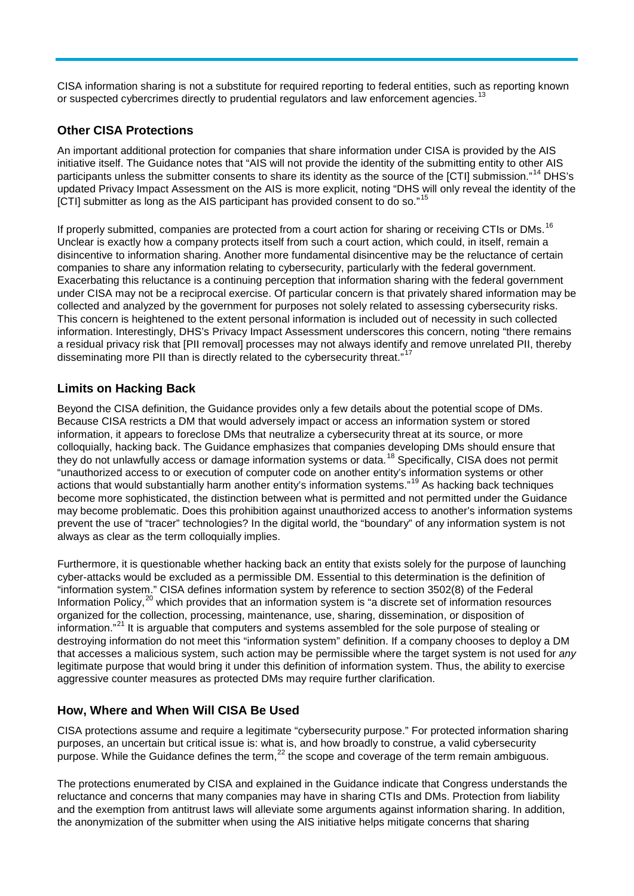CISA information sharing is not a substitute for required reporting to federal entities, such as reporting known or suspected cybercrimes directly to prudential regulators and law enforcement agencies.<sup>[13](#page-4-8)</sup>

# **Other CISA Protections**

An important additional protection for companies that share information under CISA is provided by the AIS initiative itself. The Guidance notes that "AIS will not provide the identity of the submitting entity to other AIS participants unless the submitter consents to share its identity as the source of the [CTI] submission."[14](#page-4-9) DHS's updated Privacy Impact Assessment on the AIS is more explicit, noting "DHS will only reveal the identity of the [CTI] submitter as long as the AIS participant has provided consent to do so."<sup>[15](#page-4-10)</sup>

If properly submitted, companies are protected from a court action for sharing or receiving CTIs or DMs.<sup>[16](#page-4-11)</sup> Unclear is exactly how a company protects itself from such a court action, which could, in itself, remain a disincentive to information sharing. Another more fundamental disincentive may be the reluctance of certain companies to share any information relating to cybersecurity, particularly with the federal government. Exacerbating this reluctance is a continuing perception that information sharing with the federal government under CISA may not be a reciprocal exercise. Of particular concern is that privately shared information may be collected and analyzed by the government for purposes not solely related to assessing cybersecurity risks. This concern is heightened to the extent personal information is included out of necessity in such collected information. Interestingly, DHS's Privacy Impact Assessment underscores this concern, noting "there remains a residual privacy risk that [PII removal] processes may not always identify and remove unrelated PII, thereby disseminating more PII than is directly related to the cybersecurity threat."<sup>[17](#page-4-12)</sup>

# **Limits on Hacking Back**

Beyond the CISA definition, the Guidance provides only a few details about the potential scope of DMs. Because CISA restricts a DM that would adversely impact or access an information system or stored information, it appears to foreclose DMs that neutralize a cybersecurity threat at its source, or more colloquially, hacking back. The Guidance emphasizes that companies developing DMs should ensure that they do not unlawfully access or damage information systems or data.[18](#page-4-13) Specifically, CISA does not permit "unauthorized access to or execution of computer code on another entity's information systems or other actions that would substantially harm another entity's information systems."<sup>[19](#page-4-14)</sup> As hacking back techniques become more sophisticated, the distinction between what is permitted and not permitted under the Guidance may become problematic. Does this prohibition against unauthorized access to another's information systems prevent the use of "tracer" technologies? In the digital world, the "boundary" of any information system is not always as clear as the term colloquially implies.

Furthermore, it is questionable whether hacking back an entity that exists solely for the purpose of launching cyber-attacks would be excluded as a permissible DM. Essential to this determination is the definition of "information system." CISA defines information system by reference to section 3502(8) of the Federal Information Policy,<sup>[20](#page-4-15)</sup> which provides that an information system is "a discrete set of information resources" organized for the collection, processing, maintenance, use, sharing, dissemination, or disposition of information."[21](#page-4-16) It is arguable that computers and systems assembled for the sole purpose of stealing or destroying information do not meet this "information system" definition. If a company chooses to deploy a DM that accesses a malicious system, such action may be permissible where the target system is not used for *any* legitimate purpose that would bring it under this definition of information system. Thus, the ability to exercise aggressive counter measures as protected DMs may require further clarification.

# **How, Where and When Will CISA Be Used**

CISA protections assume and require a legitimate "cybersecurity purpose." For protected information sharing purposes, an uncertain but critical issue is: what is, and how broadly to construe, a valid cybersecurity purpose. While the Guidance defines the term, $^{22}$  $^{22}$  $^{22}$  the scope and coverage of the term remain ambiguous.

The protections enumerated by CISA and explained in the Guidance indicate that Congress understands the reluctance and concerns that many companies may have in sharing CTIs and DMs. Protection from liability and the exemption from antitrust laws will alleviate some arguments against information sharing. In addition, the anonymization of the submitter when using the AIS initiative helps mitigate concerns that sharing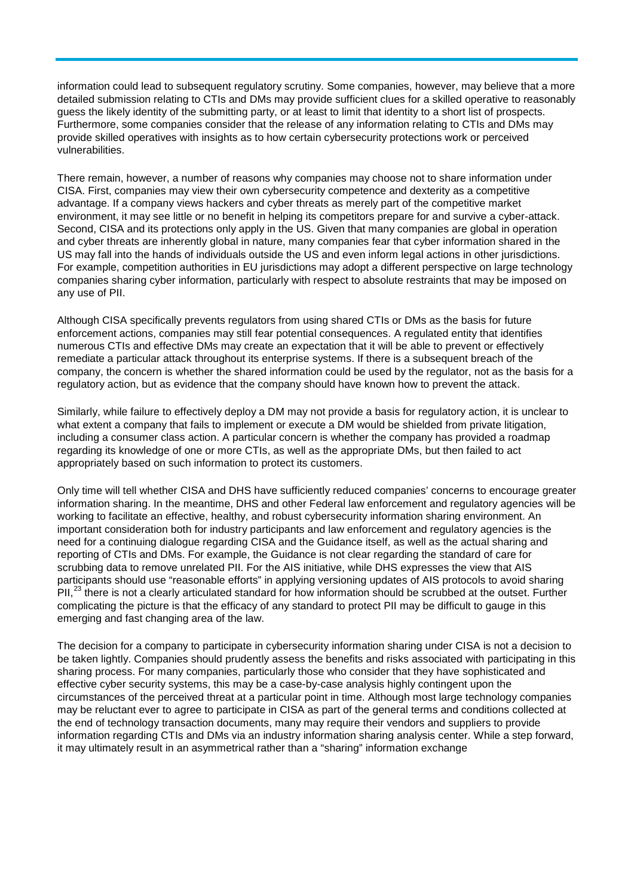<span id="page-3-0"></span>information could lead to subsequent regulatory scrutiny. Some companies, however, may believe that a more detailed submission relating to CTIs and DMs may provide sufficient clues for a skilled operative to reasonably guess the likely identity of the submitting party, or at least to limit that identity to a short list of prospects. Furthermore, some companies consider that the release of any information relating to CTIs and DMs may provide skilled operatives with insights as to how certain cybersecurity protections work or perceived vulnerabilities.

<span id="page-3-2"></span><span id="page-3-1"></span>There remain, however, a number of reasons why companies may choose not to share information under CISA. First, companies may view their own cybersecurity competence and dexterity as a competitive advantage. If a company views hackers and cyber threats as merely part of the competitive market environment, it may see little or no benefit in helping its competitors prepare for and survive a cyber-attack. Second, CISA and its protections only apply in the US. Given that many companies are global in operation and cyber threats are inherently global in nature, many companies fear that cyber information shared in the US may fall into the hands of individuals outside the US and even inform legal actions in other jurisdictions. For example, competition authorities in EU jurisdictions may adopt a different perspective on large technology companies sharing cyber information, particularly with respect to absolute restraints that may be imposed on any use of PII.

<span id="page-3-3"></span>Although CISA specifically prevents regulators from using shared CTIs or DMs as the basis for future enforcement actions, companies may still fear potential consequences. A regulated entity that identifies numerous CTIs and effective DMs may create an expectation that it will be able to prevent or effectively remediate a particular attack throughout its enterprise systems. If there is a subsequent breach of the company, the concern is whether the shared information could be used by the regulator, not as the basis for a regulatory action, but as evidence that the company should have known how to prevent the attack.

Similarly, while failure to effectively deploy a DM may not provide a basis for regulatory action, it is unclear to what extent a company that fails to implement or execute a DM would be shielded from private litigation, including a consumer class action. A particular concern is whether the company has provided a roadmap regarding its knowledge of one or more CTIs, as well as the appropriate DMs, but then failed to act appropriately based on such information to protect its customers.

Only time will tell whether CISA and DHS have sufficiently reduced companies' concerns to encourage greater information sharing. In the meantime, DHS and other Federal law enforcement and regulatory agencies will be working to facilitate an effective, healthy, and robust cybersecurity information sharing environment. An important consideration both for industry participants and law enforcement and regulatory agencies is the need for a continuing dialogue regarding CISA and the Guidance itself, as well as the actual sharing and reporting of CTIs and DMs. For example, the Guidance is not clear regarding the standard of care for scrubbing data to remove unrelated PII. For the AIS initiative, while DHS expresses the view that AIS participants should use "reasonable efforts" in applying versioning updates of AIS protocols to avoid sharing  $PII$ ,<sup>[23](#page-4-18)</sup> there is not a clearly articulated standard for how information should be scrubbed at the outset. Further complicating the picture is that the efficacy of any standard to protect PII may be difficult to gauge in this emerging and fast changing area of the law.

The decision for a company to participate in cybersecurity information sharing under CISA is not a decision to be taken lightly. Companies should prudently assess the benefits and risks associated with participating in this sharing process. For many companies, particularly those who consider that they have sophisticated and effective cyber security systems, this may be a case-by-case analysis highly contingent upon the circumstances of the perceived threat at a particular point in time. Although most large technology companies may be reluctant ever to agree to participate in CISA as part of the general terms and conditions collected at the end of technology transaction documents, many may require their vendors and suppliers to provide information regarding CTIs and DMs via an industry information sharing analysis center. While a step forward, it may ultimately result in an asymmetrical rather than a "sharing" information exchange